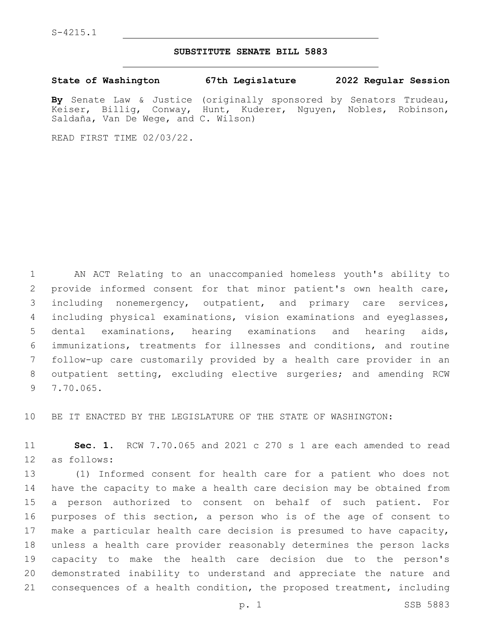## **SUBSTITUTE SENATE BILL 5883**

**State of Washington 67th Legislature 2022 Regular Session**

**By** Senate Law & Justice (originally sponsored by Senators Trudeau, Keiser, Billig, Conway, Hunt, Kuderer, Nguyen, Nobles, Robinson, Saldaña, Van De Wege, and C. Wilson)

READ FIRST TIME 02/03/22.

 AN ACT Relating to an unaccompanied homeless youth's ability to provide informed consent for that minor patient's own health care, including nonemergency, outpatient, and primary care services, including physical examinations, vision examinations and eyeglasses, dental examinations, hearing examinations and hearing aids, immunizations, treatments for illnesses and conditions, and routine follow-up care customarily provided by a health care provider in an outpatient setting, excluding elective surgeries; and amending RCW 9 7.70.065.

BE IT ENACTED BY THE LEGISLATURE OF THE STATE OF WASHINGTON:

 **Sec. 1.** RCW 7.70.065 and 2021 c 270 s 1 are each amended to read 12 as follows:

 (1) Informed consent for health care for a patient who does not have the capacity to make a health care decision may be obtained from a person authorized to consent on behalf of such patient. For purposes of this section, a person who is of the age of consent to make a particular health care decision is presumed to have capacity, unless a health care provider reasonably determines the person lacks capacity to make the health care decision due to the person's demonstrated inability to understand and appreciate the nature and consequences of a health condition, the proposed treatment, including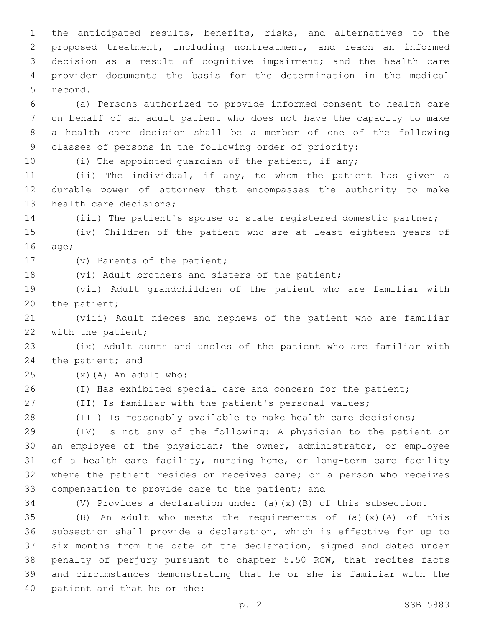the anticipated results, benefits, risks, and alternatives to the proposed treatment, including nontreatment, and reach an informed decision as a result of cognitive impairment; and the health care provider documents the basis for the determination in the medical 5 record.

 (a) Persons authorized to provide informed consent to health care on behalf of an adult patient who does not have the capacity to make a health care decision shall be a member of one of the following classes of persons in the following order of priority:

10 (i) The appointed quardian of the patient, if any;

 (ii) The individual, if any, to whom the patient has given a durable power of attorney that encompasses the authority to make 13 health care decisions;

(iii) The patient's spouse or state registered domestic partner;

 (iv) Children of the patient who are at least eighteen years of 16 age;

17 (v) Parents of the patient;

18 (vi) Adult brothers and sisters of the patient;

 (vii) Adult grandchildren of the patient who are familiar with 20 the patient;

 (viii) Adult nieces and nephews of the patient who are familiar 22 with the patient;

 (ix) Adult aunts and uncles of the patient who are familiar with 24 the patient; and

 $(25)$   $(x)$   $(A)$  An adult who:

26 (I) Has exhibited special care and concern for the patient;

(II) Is familiar with the patient's personal values;

(III) Is reasonably available to make health care decisions;

 (IV) Is not any of the following: A physician to the patient or an employee of the physician; the owner, administrator, or employee of a health care facility, nursing home, or long-term care facility where the patient resides or receives care; or a person who receives 33 compensation to provide care to the patient; and

(V) Provides a declaration under (a)(x)(B) of this subsection.

 $(B)$  An adult who meets the requirements of (a)(x)(A) of this subsection shall provide a declaration, which is effective for up to six months from the date of the declaration, signed and dated under penalty of perjury pursuant to chapter 5.50 RCW, that recites facts and circumstances demonstrating that he or she is familiar with the 40 patient and that he or she: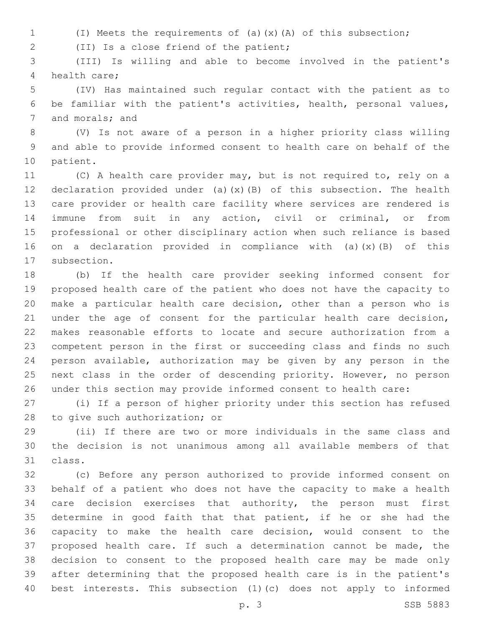(I) Meets the requirements of (a)(x)(A) of this subsection;

(II) Is a close friend of the patient;2

 (III) Is willing and able to become involved in the patient's 4 health care:

 (IV) Has maintained such regular contact with the patient as to be familiar with the patient's activities, health, personal values, 7 and morals; and

 (V) Is not aware of a person in a higher priority class willing and able to provide informed consent to health care on behalf of the 10 patient.

 (C) A health care provider may, but is not required to, rely on a declaration provided under (a)(x)(B) of this subsection. The health care provider or health care facility where services are rendered is immune from suit in any action, civil or criminal, or from professional or other disciplinary action when such reliance is based on a declaration provided in compliance with (a)(x)(B) of this 17 subsection.

 (b) If the health care provider seeking informed consent for proposed health care of the patient who does not have the capacity to make a particular health care decision, other than a person who is under the age of consent for the particular health care decision, makes reasonable efforts to locate and secure authorization from a competent person in the first or succeeding class and finds no such person available, authorization may be given by any person in the next class in the order of descending priority. However, no person under this section may provide informed consent to health care:

 (i) If a person of higher priority under this section has refused 28 to give such authorization; or

 (ii) If there are two or more individuals in the same class and the decision is not unanimous among all available members of that 31 class.

 (c) Before any person authorized to provide informed consent on behalf of a patient who does not have the capacity to make a health 34 care decision exercises that authority, the person must first determine in good faith that that patient, if he or she had the capacity to make the health care decision, would consent to the proposed health care. If such a determination cannot be made, the decision to consent to the proposed health care may be made only after determining that the proposed health care is in the patient's best interests. This subsection (1)(c) does not apply to informed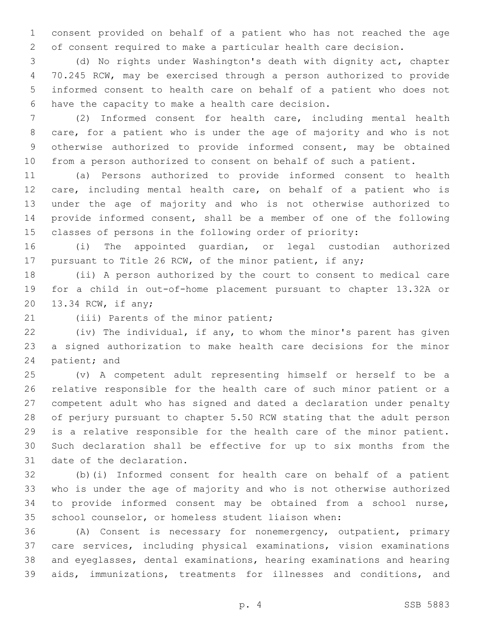consent provided on behalf of a patient who has not reached the age of consent required to make a particular health care decision.

 (d) No rights under Washington's death with dignity act, chapter 70.245 RCW, may be exercised through a person authorized to provide informed consent to health care on behalf of a patient who does not 6 have the capacity to make a health care decision.

 (2) Informed consent for health care, including mental health care, for a patient who is under the age of majority and who is not otherwise authorized to provide informed consent, may be obtained from a person authorized to consent on behalf of such a patient.

 (a) Persons authorized to provide informed consent to health care, including mental health care, on behalf of a patient who is under the age of majority and who is not otherwise authorized to provide informed consent, shall be a member of one of the following classes of persons in the following order of priority:

 (i) The appointed guardian, or legal custodian authorized pursuant to Title 26 RCW, of the minor patient, if any;

 (ii) A person authorized by the court to consent to medical care for a child in out-of-home placement pursuant to chapter 13.32A or 20 13.34 RCW, if any;

21 (iii) Parents of the minor patient;

 (iv) The individual, if any, to whom the minor's parent has given a signed authorization to make health care decisions for the minor 24 patient; and

 (v) A competent adult representing himself or herself to be a relative responsible for the health care of such minor patient or a competent adult who has signed and dated a declaration under penalty of perjury pursuant to chapter 5.50 RCW stating that the adult person is a relative responsible for the health care of the minor patient. Such declaration shall be effective for up to six months from the 31 date of the declaration.

 (b)(i) Informed consent for health care on behalf of a patient who is under the age of majority and who is not otherwise authorized to provide informed consent may be obtained from a school nurse, school counselor, or homeless student liaison when:

 (A) Consent is necessary for nonemergency, outpatient, primary care services, including physical examinations, vision examinations and eyeglasses, dental examinations, hearing examinations and hearing aids, immunizations, treatments for illnesses and conditions, and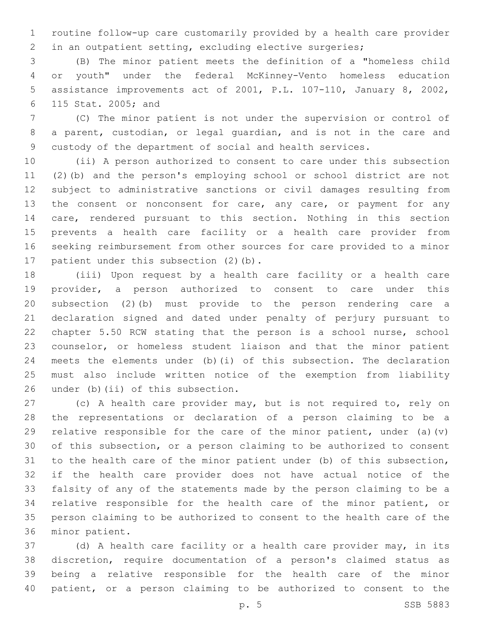routine follow-up care customarily provided by a health care provider in an outpatient setting, excluding elective surgeries;

 (B) The minor patient meets the definition of a "homeless child or youth" under the federal McKinney-Vento homeless education assistance improvements act of 2001, P.L. 107-110, January 8, 2002, 115 Stat. 2005; and6

 (C) The minor patient is not under the supervision or control of a parent, custodian, or legal guardian, and is not in the care and custody of the department of social and health services.

 (ii) A person authorized to consent to care under this subsection (2)(b) and the person's employing school or school district are not subject to administrative sanctions or civil damages resulting from 13 the consent or nonconsent for care, any care, or payment for any care, rendered pursuant to this section. Nothing in this section prevents a health care facility or a health care provider from seeking reimbursement from other sources for care provided to a minor 17 patient under this subsection (2)(b).

 (iii) Upon request by a health care facility or a health care provider, a person authorized to consent to care under this subsection (2)(b) must provide to the person rendering care a declaration signed and dated under penalty of perjury pursuant to chapter 5.50 RCW stating that the person is a school nurse, school counselor, or homeless student liaison and that the minor patient meets the elements under (b)(i) of this subsection. The declaration must also include written notice of the exemption from liability 26 under (b)(ii) of this subsection.

 (c) A health care provider may, but is not required to, rely on the representations or declaration of a person claiming to be a 29 relative responsible for the care of the minor patient, under (a)(v) of this subsection, or a person claiming to be authorized to consent to the health care of the minor patient under (b) of this subsection, if the health care provider does not have actual notice of the falsity of any of the statements made by the person claiming to be a relative responsible for the health care of the minor patient, or person claiming to be authorized to consent to the health care of the 36 minor patient.

 (d) A health care facility or a health care provider may, in its discretion, require documentation of a person's claimed status as being a relative responsible for the health care of the minor patient, or a person claiming to be authorized to consent to the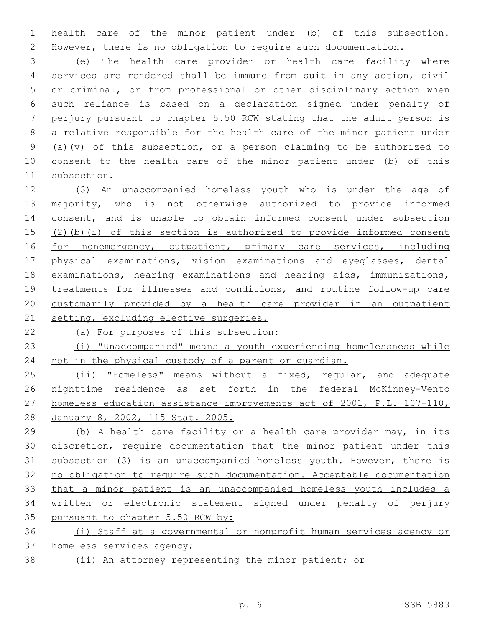health care of the minor patient under (b) of this subsection. However, there is no obligation to require such documentation.

 (e) The health care provider or health care facility where services are rendered shall be immune from suit in any action, civil or criminal, or from professional or other disciplinary action when such reliance is based on a declaration signed under penalty of perjury pursuant to chapter 5.50 RCW stating that the adult person is a relative responsible for the health care of the minor patient under (a)(v) of this subsection, or a person claiming to be authorized to consent to the health care of the minor patient under (b) of this 11 subsection.

 (3) An unaccompanied homeless youth who is under the age of 13 majority, who is not otherwise authorized to provide informed 14 consent, and is unable to obtain informed consent under subsection (2)(b)(i) of this section is authorized to provide informed consent 16 for nonemergency, outpatient, primary care services, including physical examinations, vision examinations and eyeglasses, dental examinations, hearing examinations and hearing aids, immunizations, treatments for illnesses and conditions, and routine follow-up care customarily provided by a health care provider in an outpatient 21 setting, excluding elective surgeries.

(a) For purposes of this subsection:

 (i) "Unaccompanied" means a youth experiencing homelessness while 24 not in the physical custody of a parent or quardian.

25 (ii) "Homeless" means without a fixed, regular, and adequate nighttime residence as set forth in the federal McKinney-Vento homeless education assistance improvements act of 2001, P.L. 107-110, January 8, 2002, 115 Stat. 2005.

 (b) A health care facility or a health care provider may, in its discretion, require documentation that the minor patient under this subsection (3) is an unaccompanied homeless youth. However, there is no obligation to require such documentation. Acceptable documentation that a minor patient is an unaccompanied homeless youth includes a written or electronic statement signed under penalty of perjury 35 pursuant to chapter 5.50 RCW by:

 (i) Staff at a governmental or nonprofit human services agency or homeless services agency;

(ii) An attorney representing the minor patient; or